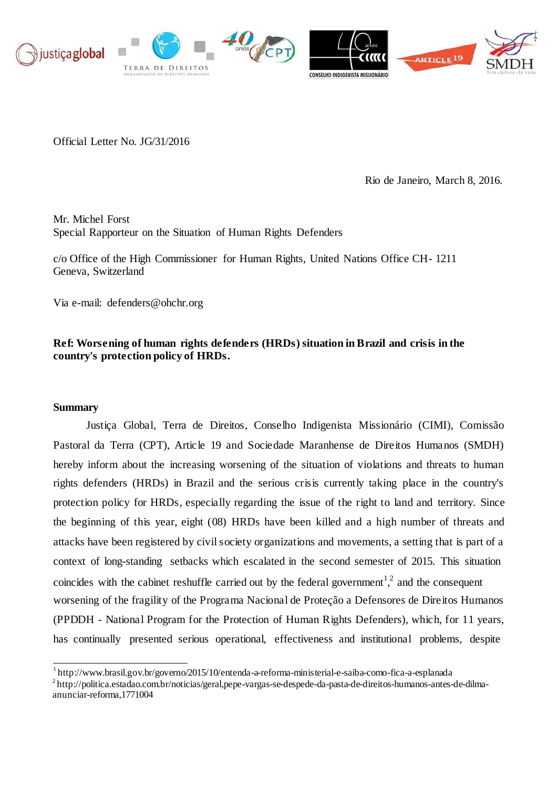

Official Letter No. JG/31/2016

Rio de Janeiro, March 8, 2016.

Mr. Michel Forst Special Rapporteur on the Situation of Human Rights Defenders

c/o Office of the High Commissioner for Human Rights, United Nations Office CH- 1211 Geneva, Switzerland

Via e-m[ail: defenders@ohchr.org](mailto:defenders@ohchr.org)

# **Ref: Worsening of human rights defenders (HRDs) situation in Brazil and crisis in the country's protection policy of HRDs.**

### **Summary**

Justiça Global, Terra de Direitos, Conselho Indigenista Missionário (CIMI), Comissão Pastoral da Terra (CPT), Article 19 and Sociedade Maranhense de Direitos Humanos (SMDH) hereby inform about the increasing worsening of the situation of violations and threats to human rights defenders (HRDs) in Brazil and the serious crisis currently taking place in the country's protection policy for HRDs, especially regarding the issue of the right to land and territory. Since the beginning of this year, eight (08) HRDs have been killed and a high number of threats and attacks have been registered by civil society organizations and movements, a setting that is part of a context of long-standing setbacks which escalated in the second semester of 2015. This situation coincides with the cabinet reshuffle carried out by the federal government<sup>1</sup>[,](#page-0-0)<sup>[2](#page-0-1)</sup> and the consequent worsening of the fragility of the Programa Nacional de Proteção a Defensores de Direitos Humanos (PPDDH - National Program for the Protection of Human Rights Defenders), which, for 11 years, has continually presented serious operational, effectiveness and institutional problems, despite

<span id="page-0-0"></span><sup>1</sup><http://www.brasil.gov.br/governo/2015/10/entenda-a-reforma-ministerial-e-saiba-como-fica-a-esplanada>

<span id="page-0-1"></span><sup>2</sup>[http://politica.estadao.com.br/noticias/geral,pepe-vargas-se-despede-da-pasta-de-direitos-humanos-antes-de-dilma](http://politica.estadao.com.br/noticias/geral%2Cpepe-vargas-se-despede-da-pasta-de-direitos-humanos-antes-de-dilma-)anunciar-reforma,1771004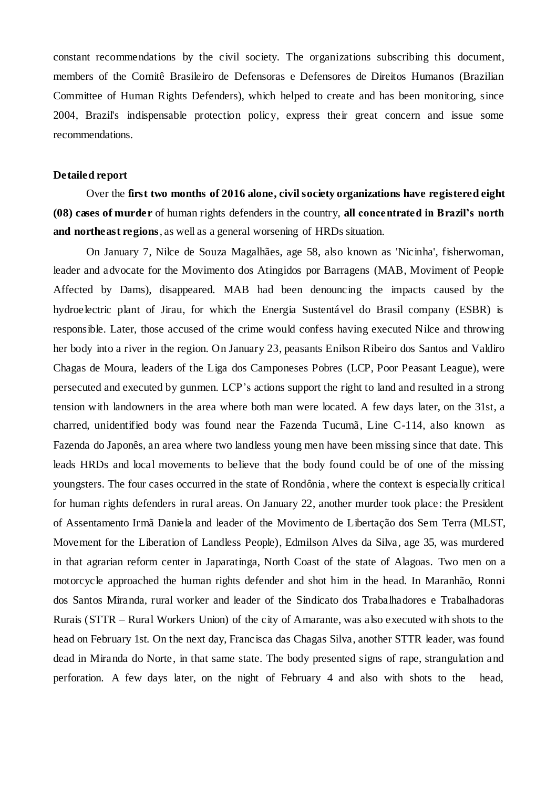constant recommendations by the civil society. The organizations subscribing this document, members of the Comitê Brasileiro de Defensoras e Defensores de Direitos Humanos (Brazilian Committee of Human Rights Defenders), which helped to create and has been monitoring, since 2004, Brazil's indispensable protection policy, express their great concern and issue some recommendations.

### **Detailed report**

Over the **first two months of 2016 alone, civil society organizations have registered eight (08) cases of murder** of human rights defenders in the country, **all concentrated in Brazil's north and northeast regions**, as well as a general worsening of HRDs situation.

On January 7, Nilce de Souza Magalhães, age 58, also known as 'Nicinha', fisherwoman, leader and advocate for the Movimento dos Atingidos por Barragens (MAB, Moviment of People Affected by Dams), disappeared. MAB had been denouncing the impacts caused by the hydroelectric plant of Jirau, for which the Energia Sustentável do Brasil company (ESBR) is responsible. Later, those accused of the crime would confess having executed Nilce and throwing her body into a river in the region. On January 23, peasants Enilson Ribeiro dos Santos and Valdiro Chagas de Moura, leaders of the Liga dos Camponeses Pobres (LCP, Poor Peasant League), were persecuted and executed by gunmen. LCP's actions support the right to land and resulted in a strong tension with landowners in the area where both man were located. A few days later, on the 31st, a charred, unidentified body was found near the Fazenda Tucumã, Line C-114, also known as Fazenda do Japonês, an area where two landless young men have been missing since that date. This leads HRDs and local movements to believe that the body found could be of one of the missing youngsters. The four cases occurred in the state of Rondônia , where the context is especially critical for human rights defenders in rural areas. On January 22, another murder took place: the President of Assentamento Irmã Daniela and leader of the Movimento de Libertação dos Sem Terra (MLST, Movement for the Liberation of Landless People), Edmilson Alves da Silva, age 35, was murdered in that agrarian reform center in Japaratinga, North Coast of the state of Alagoas. Two men on a motorcycle approached the human rights defender and shot him in the head. In Maranhão, Ronni dos Santos Miranda, rural worker and leader of the Sindicato dos Trabalhadores e Trabalhadoras Rurais (STTR – Rural Workers Union) of the city of Amarante, was also executed with shots to the head on February 1st. On the next day, Francisca das Chagas Silva, another STTR leader, was found dead in Miranda do Norte, in that same state. The body presented signs of rape, strangulation and perforation. A few days later, on the night of February 4 and also with shots to the head,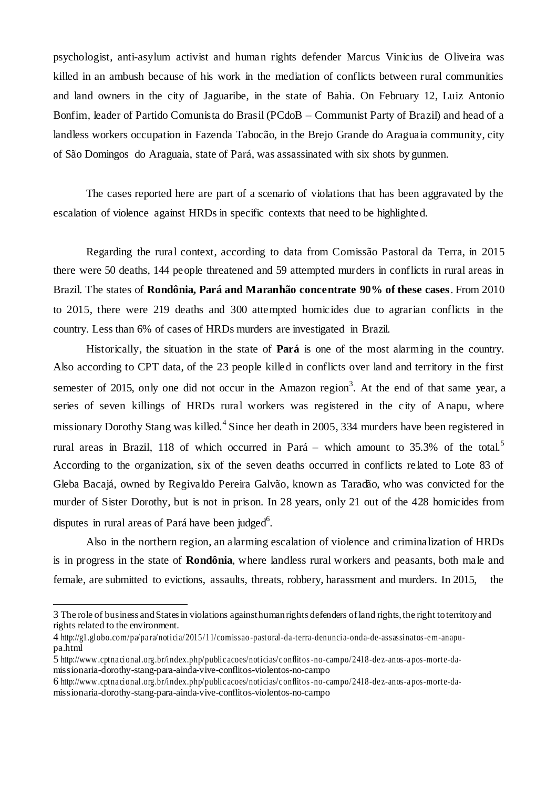psychologist, anti-asylum activist and human rights defender Marcus Vinicius de Oliveira was killed in an ambush because of his work in the mediation of conflicts between rural communities and land owners in the city of Jaguaribe, in the state of Bahia. On February 12, Luiz Antonio Bonfim, leader of Partido Comunista do Brasil (PCdoB – Communist Party of Brazil) and head of a landless workers occupation in Fazenda Tabocão, in the Brejo Grande do Araguaia community, city of São Domingos do Araguaia, state of Pará, was assassinated with six shots by gunmen.

The cases reported here are part of a scenario of violations that has been aggravated by the escalation of violence against HRDs in specific contexts that need to be highlighted.

Regarding the rural context, according to data from Comissão Pastoral da Terra, in 2015 there were 50 deaths, 144 people threatened and 59 attempted murders in conflicts in rural areas in Brazil. The states of **Rondônia, Pará and Maranhão concentrate 90% of these cases**. From 2010 to 2015, there were 219 deaths and 300 attempted homicides due to agrarian conflicts in the country. Less than 6% of cases of HRDs murders are investigated in Brazil.

Historically, the situation in the state of **Pará** is one of the most alarming in the country. Also according to CPT data, of the 23 people killed in conflicts over land and territory in the first semester of 2015, only one did not occur in the Amazon region<sup>3</sup>[.](#page-2-0) At the end of that same year, a series of seven killings of HRDs rural workers was registered in the city of Anapu, where missionary Dorothy Stang was killed.<sup>[4](#page-2-0)</sup> Since her death in 2005, 334 murders have been registered in rural areas in Brazil, 118 of which occurred in Pará – which amount to 3[5](#page-2-0).3% of the total.<sup>5</sup> According to the organization, six of the seven deaths occurred in conflicts related to Lote 83 of Gleba Bacajá, owned by Regivaldo Pereira Galvão, known as Taradão, who was convicted for the murder of Sister Dorothy, but is not in prison. In 28 years, only 21 out of the 428 homicides from disputes in rural areas of Pará have been judged<sup>6</sup>[.](#page-2-0)

Also in the northern region, an alarming escalation of violence and criminalization of HRDs is in progress in the state of **Rondônia**, where landless rural workers and peasants, both male and female, are submitted to evictions, assaults, threats, robbery, harassment and murders. In 2015, the

<span id="page-2-0"></span><sup>3</sup> The role of business and States in violations against human rights defenders of land rights, the right to territory and rights related to the environment.

<sup>4</sup> [http://g1.globo.com/pa/pa ra/noticia/2015/11/comissao](http://g1.globo.com/pa/para/noticia/2015/11/comissao-pastoral-da-terra-denuncia-onda-de-assassinatos-em-anapu-) -pastoral-da -terra-denuncia-onda-de-assassinatos-e m-anapupa.html

<sup>5</sup> [http://www .cptna cional.org.br/index.php/public acoes/noticias/c onflitos-no-campo/2418-de z-anos-a pos-morte-da](http://www.cptnacional.org.br/index.php/publicacoes/noticias/conflitos-no-campo/2418-dez-anos-apos-morte-da-)missionaria-dorothy-stang-para-ainda-vive-conflitos-violentos-no-campo

<sup>6</sup> [http://www .cptna cional.org.br/index.php/public acoes/noticias/c onflitos-no-campo/2418-de z-anos-a pos-morte-da](http://www.cptnacional.org.br/index.php/publicacoes/noticias/conflitos-no-campo/2418-dez-anos-apos-morte-da-)missionaria-dorothy-stang-para-ainda-vive-conflitos-violentos-no-campo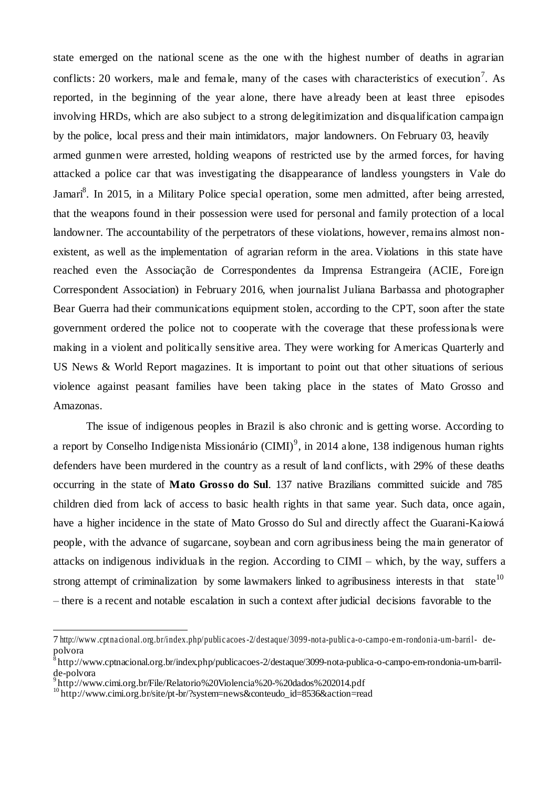state emerged on the national scene as the one with the highest number of deaths in agrarian conflicts: 20 workers, male and female, many of the cases with characteristics of execution<sup>[7](#page-3-0)</sup>. As reported, in the beginning of the year alone, there have already been at least three episodes involving HRDs, which are also subject to a strong delegitimization and disqualification campaign by the police, local press and their main intimidators, major landowners. On February 03, heavily armed gunmen were arrested, holding weapons of restricted use by the armed forces, for having attacked a police car that was investigating the disappearance of landless youngsters in Vale do Jamar[i](#page-3-0)<sup>8</sup>. In 2015, in a Military Police special operation, some men admitted, after being arrested, that the weapons found in their possession were used for personal and family protection of a local landowner. The accountability of the perpetrators of these violations, however, remains almost nonexistent, as well as the implementation of agrarian reform in the area. Violations in this state have reached even the Associação de Correspondentes da Imprensa Estrangeira (ACIE, Foreign Correspondent Association) in February 2016, when journalist Juliana Barbassa and photographer Bear Guerra had their communications equipment stolen, according to the CPT, soon after the state government ordered the police not to cooperate with the coverage that these professionals were making in a violent and politically sensitive area. They were working for Americas Quarterly and US News & World Report magazines. It is important to point out that other situations of serious violence against peasant families have been taking place in the states of Mato Grosso and Amazonas.

The issue of indigenous peoples in Brazil is also chronic and is getting worse. According to a report by Conselho Indigenista Missionário (CIMI)<sup>[9](#page-3-0)</sup>, in 2014 alone, 138 indigenous human rights defenders have been murdered in the country as a result of land conflicts, with 29% of these deaths occurring in the state of **Mato Grosso do Sul**. 137 native Brazilians committed suicide and 785 children died from lack of access to basic health rights in that same year. Such data, once again, have a higher incidence in the state of Mato Grosso do Sul and directly affect the Guarani-Kaiowá people, with the advance of sugarcane, soybean and corn agribusiness being the main generator of attacks on indigenous individuals in the region. According to CIMI – which, by the way, suffers a strong attempt of criminalization by some lawmakers linked to agribusiness interests in that state<sup>[10](#page-3-0)</sup> – there is a recent and notable escalation in such a context after judicial decisions favorable to the

<span id="page-3-0"></span><sup>7</sup> [http://www .cptna cional.org.br/index.php/public acoes-2/destaque/3099-nota-public a-o-campo-e m-rondonia-um-barril-](http://www.cptnacional.org.br/index.php/publicacoes-2/destaque/3099-nota-publica-o-campo-em-rondonia-um-barril-) depolvora

<sup>8</sup>[http://www.cptnacional.org.br/index.php/publicacoes-2/destaque/3099-nota-publica-o-campo-em-rondonia-um-barril](http://www.cptnacional.org.br/index.php/publicacoes-2/destaque/3099-nota-publica-o-campo-em-rondonia-um-barril-)de-polvora

<sup>9</sup><http://www.cimi.org.br/File/Relatorio%20Violencia%20-%20dados%202014.pdf>

<sup>10</sup>[http://www.cimi.org.br/site/pt-br/?system=news&conteudo\\_id=8536&action=read](http://www.cimi.org.br/site/pt-br/?system=news&conteudo_id=8536&action=read)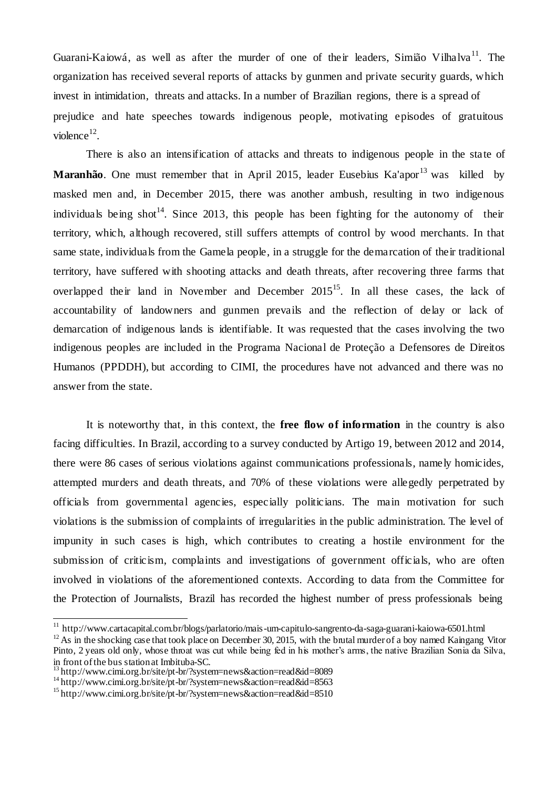Guarani-Kaiowá, as well as after the murder of one of their leaders, Simião Vilhalva<sup>[11](#page-4-0)</sup>. The organization has received several reports of attacks by gunmen and private security guards, which invest in intimidation, threats and attacks. In a number of Brazilian regions, there is a spread of prejudice and hate speeches towards indigenous people, motivating episodes of gratuitous  $violence<sup>12</sup>$  $violence<sup>12</sup>$  $violence<sup>12</sup>$ .

There is also an intensification of attacks and threats to indigenous people in the state of **Maranhão**. One must remember that in April 2015, leader Eusebius Ka'apor<sup>[13](#page-4-0)</sup> was killed by masked men and, in December 2015, there was another ambush, resulting in two indigenous individuals being shot<sup>[14](#page-4-0)</sup>. Since 2013, this people has been fighting for the autonomy of their territory, which, although recovered, still suffers attempts of control by wood merchants. In that same state, individuals from the Gamela people, in a struggle for the demarcation of their traditional territory, have suffered with shooting attacks and death threats, after recovering three farms that overlapped their land in November and December  $2015^{15}$  $2015^{15}$  $2015^{15}$ . In all these cases, the lack of accountability of landowners and gunmen prevails and the reflection of delay or lack of demarcation of indigenous lands is identifiable. It was requested that the cases involving the two indigenous peoples are included in the Programa Nacional de Proteção a Defensores de Direitos Humanos (PPDDH), but according to CIMI, the procedures have not advanced and there was no answer from the state.

It is noteworthy that, in this context, the **free flow of information** in the country is also facing difficulties. In Brazil, according to a survey conducted by Artigo 19, between 2012 and 2014, there were 86 cases of serious violations against communications professionals, namely homicides, attempted murders and death threats, and 70% of these violations were allegedly perpetrated by officials from governmental agencies, especially politicians. The main motivation for such violations is the submission of complaints of irregularities in the public administration. The level of impunity in such cases is high, which contributes to creating a hostile environment for the submission of criticism, complaints and investigations of government officials, who are often involved in violations of the aforementioned contexts. According to data from the Committee for the Protection of Journalists, Brazil has recorded the highest number of press professionals being

<span id="page-4-0"></span><sup>&</sup>lt;sup>11</sup> <http://www.cartacapital.com.br/blogs/parlatorio/mais-um-capitulo-sangrento-da-saga-guarani-kaiowa-6501.html>

 $12$  As in the shocking case that took place on December 30, 2015, with the brutal murder of a boy named Kaingang Vitor Pinto, 2 years old only, whose throat was cut while being fed in his mother's arms, the native Brazilian Sonia da Silva, in front of the bus station at Imbituba-SC.

<sup>13</sup><http://www.cimi.org.br/site/pt-br/?system=news&action=read&id=8089>

<sup>&</sup>lt;sup>14</sup><http://www.cimi.org.br/site/pt-br/?system=news&action=read&id=8563>

<sup>15</sup><http://www.cimi.org.br/site/pt-br/?system=news&action=read&id=8510>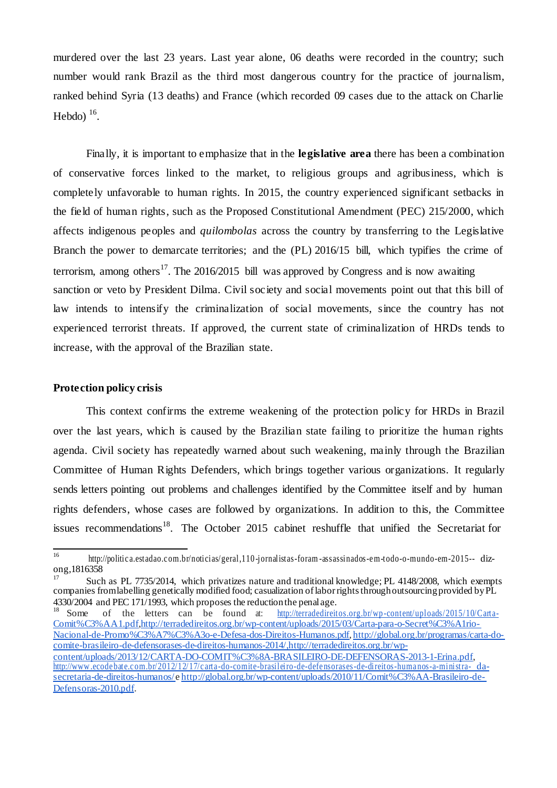murdered over the last 23 years. Last year alone, 06 deaths were recorded in the country; such number would rank Brazil as the third most dangerous country for the practice of journalism, ranked behind Syria (13 deaths) and France (which recorded 09 cases due to the attack on Charlie Hebdo) $16$ .

Finally, it is important to emphasize that in the **legislative area** there has been a combination of conservative forces linked to the market, to religious groups and agribusiness, which is completely unfavorable to human rights. In 2015, the country experienced significant setbacks in the field of human rights, such as the Proposed Constitutional Amendment (PEC) 215/2000, which affects indigenous peoples and *quilombolas* across the country by transferring to the Legislative Branch the power to demarcate territories; and the (PL) 2016/15 bill, which typifies the crime of terrorism, among others<sup>[17](#page-5-0)</sup>. The 2016/2015 bill was approved by Congress and is now awaiting sanction or veto by President Dilma. Civil society and social movements point out that this bill of law intends to intensify the criminalization of social movements, since the country has not experienced terrorist threats. If approved, the current state of criminalization of HRDs tends to increase, with the approval of the Brazilian state.

#### **Protection policy crisis**

This context confirms the extreme weakening of the protection policy for HRDs in Brazil over the last years, which is caused by the Brazilian state failing to prioritize the human rights agenda. Civil society has repeatedly warned about such weakening, mainly through the Brazilian Committee of Human Rights Defenders, which brings together various organizations. It regularly sends letters pointing out problems and challenges identified by the Committee itself and by human rights defenders, whose cases are followed by organizations. In addition to this, the Committee issues recommendations<sup>[18](#page-5-0)</sup>. The October 2015 cabinet reshuffle that unified the Secretariat for

<span id="page-5-0"></span><sup>16</sup> [http://politic a.estadao.c om.br/noticias/geral,110](http://politica.estadao.com.br/noticias/geral%2C110-jornalistas-foram-assassinados-em-todo-o-mundo-em-2015--) -jornalistas-foram -assassinados-e m-todo-o-mundo-em-2015-- dizong,1816358

Such as PL 7735/2014, which privatizes nature and traditional knowledge; PL 4148/2008, which exempts companies from labelling genetically modified food; casualization of labor rights through outsourcing provided by PL 4330/2004 and PEC 171/1993, which proposes the reduction the penal age.<br><sup>18</sup> Some of the letters can be found at:  $\frac{http://terradedireit}{http://terradedireit)}$ 

of the letters can be found at: [http://terradedireitos.org.br/wp-content/uploads/2015/10/Carta-](http://terradedireitos.org.br/wp-content/uploads/2015/10/Carta-Comit%C3%AA1.pdf)[Comit%C3%AA1.pdf,http://terradedireitos.org.br/wp-content/uploads/2015/03/Carta-para-o-Secret%C3%A1rio-](http://terradedireitos.org.br/wp-content/uploads/2015/10/Carta-Comit%C3%AA1.pdf)[Nacional-de-Promo%C3%A7%C3%A3o-e-Defesa-dos-Direitos-Humanos.pdf,](http://terradedireitos.org.br/wp-content/uploads/2015/03/Carta-para-o-Secret%C3%A1rio-Nacional-de-Promo%C3%A7%C3%A3o-e-Defesa-dos-Direitos-Humanos.pdf) [http://global.org.br/programas/carta-do](http://global.org.br/programas/carta-do-)comite-brasileiro-de-defensorases-de-direitos-humanos-2014[/,http://terradedireitos.org.br/wp](http://terradedireitos.org.br/wp-)content/uploads/2013/12/CARTA-DO-COMIT%C3%8A-BRASILEIRO-DE-DEFENSORAS-2013-1-Erina.pdf, [http://www .ecode bate.c om.br/2012/12/17/c arta-do-comite-brasileiro-de-defe nsorases-de-direitos-huma nos-a-ministra-](http://www.ecodebate.com.br/2012/12/17/carta-do-comite-brasileiro-de-defensorases-de-direitos-humanos-a-ministra-da-secretaria-de-direitos-humanos/) [da](http://www.ecodebate.com.br/2012/12/17/carta-do-comite-brasileiro-de-defensorases-de-direitos-humanos-a-ministra-da-secretaria-de-direitos-humanos/)secretaria-de-direitos-humanos/[e http://global.org.br/wp-content/uploads/2010/11/Comit%C3%AA-Brasileiro-de-](http://global.org.br/wp-content/uploads/2010/11/Comit%C3%AA-Brasileiro-de-Defensoras-2010.pdf)[Defensoras-2010.pdf.](http://global.org.br/wp-content/uploads/2010/11/Comit%C3%AA-Brasileiro-de-Defensoras-2010.pdf)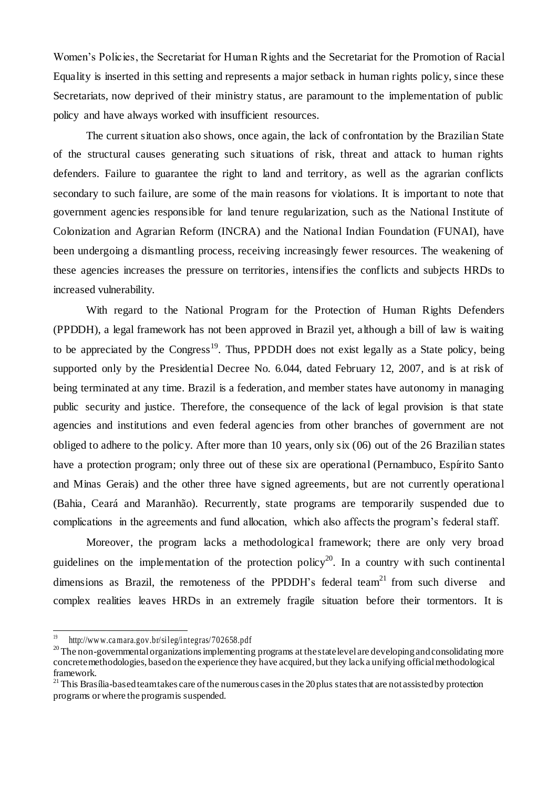Women's Policies, the Secretariat for Human Rights and the Secretariat for the Promotion of Racial Equality is inserted in this setting and represents a major setback in human rights policy, since these Secretariats, now deprived of their ministry status, are paramount to the implementation of public policy and have always worked with insufficient resources.

The current situation also shows, once again, the lack of confrontation by the Brazilian State of the structural causes generating such situations of risk, threat and attack to human rights defenders. Failure to guarantee the right to land and territory, as well as the agrarian conflicts secondary to such failure, are some of the main reasons for violations. It is important to note that government agencies responsible for land tenure regularization, such as the National Institute of Colonization and Agrarian Reform (INCRA) and the National Indian Foundation (FUNAI), have been undergoing a dismantling process, receiving increasingly fewer resources. The weakening of these agencies increases the pressure on territories, intensifies the conflicts and subjects HRDs to increased vulnerability.

With regard to the National Program for the Protection of Human Rights Defenders (PPDDH), a legal framework has not been approved in Brazil yet, although a bill of law is waiting to be appreciated by the  $Congress<sup>19</sup>$  $Congress<sup>19</sup>$  $Congress<sup>19</sup>$ . Thus, PPDDH does not exist legally as a State policy, being supported only by the Presidential Decree No. 6.044, dated February 12, 2007, and is at risk of being terminated at any time. Brazil is a federation, and member states have autonomy in managing public security and justice. Therefore, the consequence of the lack of legal provision is that state agencies and institutions and even federal agencies from other branches of government are not obliged to adhere to the policy. After more than 10 years, only six (06) out of the 26 Brazilian states have a protection program; only three out of these six are operational (Pernambuco, Espírito Santo and Minas Gerais) and the other three have signed agreements, but are not currently operational (Bahia, Ceará and Maranhão). Recurrently, state programs are temporarily suspended due to complications in the agreements and fund allocation, which also affects the program's federal staff.

Moreover, the program lacks a methodological framework; there are only very broad guidelines on the implementation of the protection policy<sup>[20](#page-6-0)</sup>. In a country with such continental dimensions as Brazil, the remoteness of the PPDDH's federal team<sup>[21](#page-6-0)</sup> from such diverse and complex realities leaves HRDs in an extremely fragile situation before their tormentors. It is

<span id="page-6-0"></span> $\frac{19}{19}$  http://www.camara.gov.br/sileg/integras/702658.pdf

<sup>&</sup>lt;sup>20</sup>The non-governmental organizations implementing programs at the state level are developing and consolidating more concrete methodologies, based on the experience they have acquired, but they lack a unifying official methodological framework.

 $21$  This Brasília-based team takes care of the numerous cases in the 20 plus states that are not assisted by protection programs or where the program is suspended.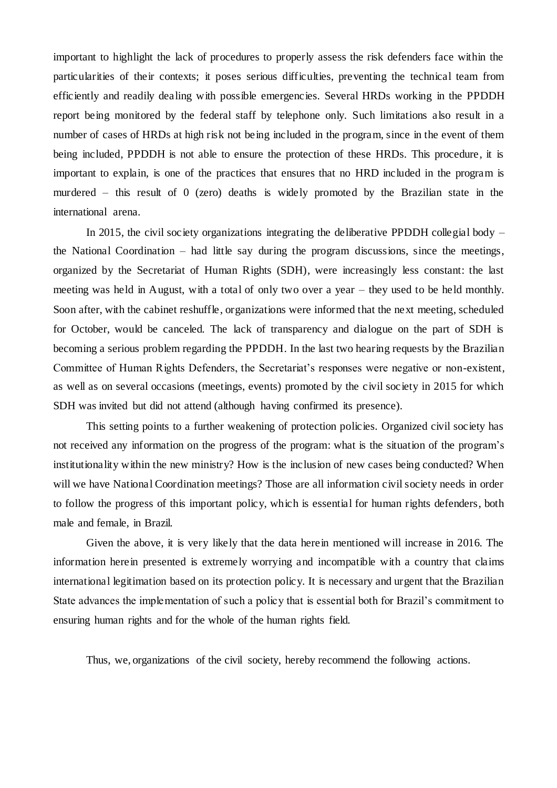important to highlight the lack of procedures to properly assess the risk defenders face within the particularities of their contexts; it poses serious difficulties, preventing the technical team from efficiently and readily dealing with possible emergencies. Several HRDs working in the PPDDH report being monitored by the federal staff by telephone only. Such limitations also result in a number of cases of HRDs at high risk not being included in the program, since in the event of them being included, PPDDH is not able to ensure the protection of these HRDs. This procedure, it is important to explain, is one of the practices that ensures that no HRD included in the program is murdered – this result of 0 (zero) deaths is widely promoted by the Brazilian state in the international arena.

In 2015, the civil society organizations integrating the deliberative PPDDH collegial body – the National Coordination – had little say during the program discussions, since the meetings, organized by the Secretariat of Human Rights (SDH), were increasingly less constant: the last meeting was held in August, with a total of only two over a year – they used to be held monthly. Soon after, with the cabinet reshuffle, organizations were informed that the next meeting, scheduled for October, would be canceled. The lack of transparency and dialogue on the part of SDH is becoming a serious problem regarding the PPDDH. In the last two hearing requests by the Brazilian Committee of Human Rights Defenders, the Secretariat's responses were negative or non-existent, as well as on several occasions (meetings, events) promoted by the civil society in 2015 for which SDH was invited but did not attend (although having confirmed its presence).

This setting points to a further weakening of protection policies. Organized civil society has not received any information on the progress of the program: what is the situation of the program's institutionality within the new ministry? How is the inclusion of new cases being conducted? When will we have National Coordination meetings? Those are all information civil society needs in order to follow the progress of this important policy, which is essential for human rights defenders, both male and female, in Brazil.

Given the above, it is very likely that the data herein mentioned will increase in 2016. The information herein presented is extremely worrying and incompatible with a country that claims international legitimation based on its protection policy. It is necessary and urgent that the Brazilian State advances the implementation of such a policy that is essential both for Brazil's commitment to ensuring human rights and for the whole of the human rights field.

Thus, we, organizations of the civil society, hereby recommend the following actions.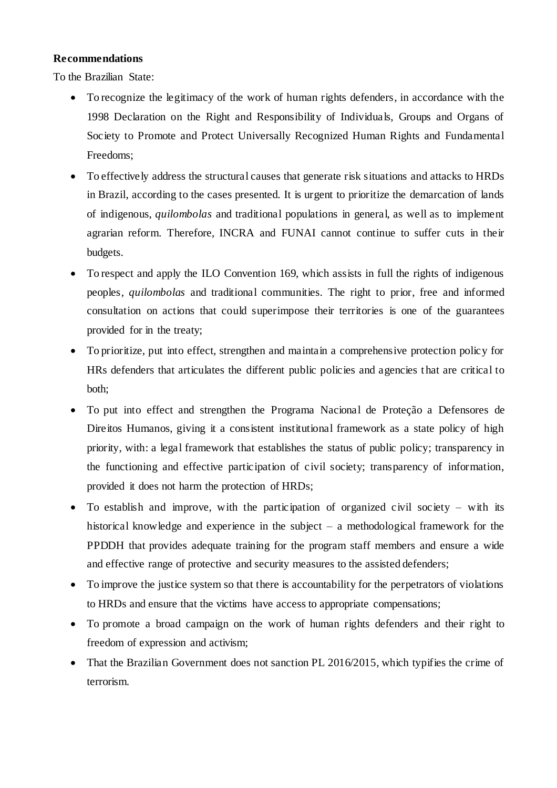# **Recommendations**

To the Brazilian State:

- To recognize the legitimacy of the work of human rights defenders, in accordance with the 1998 Declaration on the Right and Responsibility of Individuals, Groups and Organs of Society to Promote and Protect Universally Recognized Human Rights and Fundamental Freedoms;
- To effectively address the structural causes that generate risk situations and attacks to HRDs in Brazil, according to the cases presented. It is urgent to prioritize the demarcation of lands of indigenous, *quilombolas* and traditional populations in general, as well as to implement agrarian reform. Therefore, INCRA and FUNAI cannot continue to suffer cuts in their budgets.
- To respect and apply the ILO Convention 169, which assists in full the rights of indigenous peoples, *quilombolas* and traditional communities. The right to prior, free and informed consultation on actions that could superimpose their territories is one of the guarantees provided for in the treaty;
- To prioritize, put into effect, strengthen and maintain a comprehensive protection policy for HRs defenders that articulates the different public policies and agencies t hat are critical to both;
- To put into effect and strengthen the Programa Nacional de Proteção a Defensores de Direitos Humanos, giving it a consistent institutional framework as a state policy of high priority, with: a legal framework that establishes the status of public policy; transparency in the functioning and effective participation of civil society; transparency of information, provided it does not harm the protection of HRDs;
- $\bullet$  To establish and improve, with the participation of organized civil society with its historical knowledge and experience in the subject – a methodological framework for the PPDDH that provides adequate training for the program staff members and ensure a wide and effective range of protective and security measures to the assisted defenders;
- To improve the justice system so that there is accountability for the perpetrators of violations to HRDs and ensure that the victims have access to appropriate compensations;
- To promote a broad campaign on the work of human rights defenders and their right to freedom of expression and activism;
- That the Brazilian Government does not sanction PL 2016/2015, which typifies the crime of terrorism.